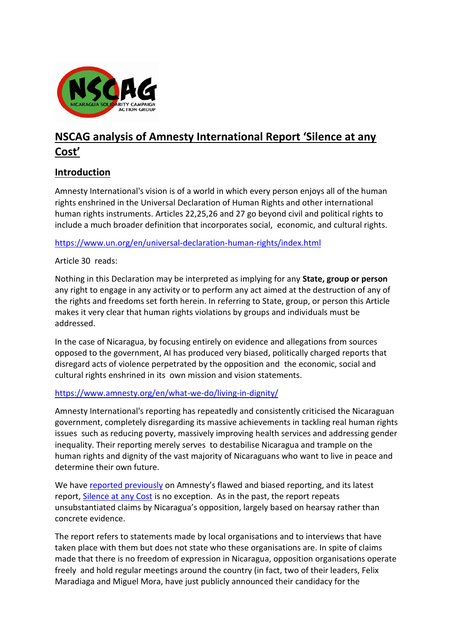

# **NSCAG analysis of Amnesty International Report 'Silence at any Cost'**

## **Introduction**

Amnesty International's vision is of a world in which every person enjoys all of the human rights enshrined in the Universal Declaration of Human Rights and other international human rights instruments. Articles 22,25,26 and 27 go beyond civil and political rights to include a much broader definition that incorporates social, economic, and cultural rights.

<https://www.un.org/en/universal-declaration-human-rights/index.html>

#### Article 30 reads:

Nothing in this Declaration may be interpreted as implying for any **State, group or person** any right to engage in any activity or to perform any act aimed at the destruction of any of the rights and freedoms set forth herein. In referring to State, group, or person this Article makes it very clear that human rights violations by groups and individuals must be addressed.

In the case of Nicaragua, by focusing entirely on evidence and allegations from sources opposed to the government, AI has produced very biased, politically charged reports that disregard acts of violence perpetrated by the opposition and the economic, social and cultural rights enshrined in its own mission and vision statements.

#### <https://www.amnesty.org/en/what-we-do/living-in-dignity/>

Amnesty International's reporting has repeatedly and consistently criticised the Nicaraguan government, completely disregarding its massive achievements in tackling real human rights issues such as reducing poverty, massively improving health services and addressing gender inequality. Their reporting merely serves to destabilise Nicaragua and trample on the human rights and dignity of the vast majority of Nicaraguans who want to live in peace and determine their own future.

We have [reported previously](https://www.nscag.org/news/article/288/nscag-calls-amnesty-international-to-account) on Amnesty's flawed and biased reporting, and its latest report[, Silence at any Cost](https://www.amnesty.org/en/documents/amr43/3398/2021/en/) is no exception. As in the past, the report repeats unsubstantiated claims by Nicaragua's opposition, largely based on hearsay rather than concrete evidence.

The report refers to statements made by local organisations and to interviews that have taken place with them but does not state who these organisations are. In spite of claims made that there is no freedom of expression in Nicaragua, opposition organisations operate freely and hold regular meetings around the country (in fact, two of their leaders, Felix Maradiaga and Miguel Mora, have just publicly announced their candidacy for the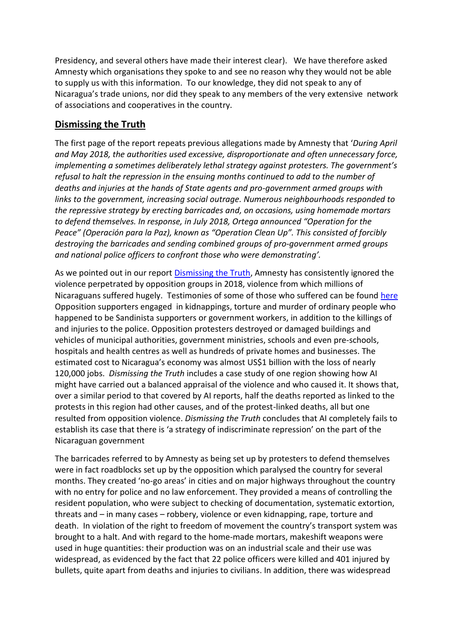Presidency, and several others have made their interest clear). We have therefore asked Amnesty which organisations they spoke to and see no reason why they would not be able to supply us with this information. To our knowledge, they did not speak to any of Nicaragua's trade unions, nor did they speak to any members of the very extensive network of associations and cooperatives in the country.

## **Dismissing the Truth**

The first page of the report repeats previous allegations made by Amnesty that '*During April and May 2018, the authorities used excessive, disproportionate and often unnecessary force, implementing a sometimes deliberately lethal strategy against protesters. The government's refusal to halt the repression in the ensuing months continued to add to the number of deaths and injuries at the hands of State agents and pro-government armed groups with links to the government, increasing social outrage. Numerous neighbourhoods responded to the repressive strategy by erecting barricades and, on occasions, using homemade mortars to defend themselves. In response, in July 2018, Ortega announced "Operation for the Peace" (Operación para la Paz), known as "Operation Clean Up". This consisted of forcibly destroying the barricades and sending combined groups of pro-government armed groups and national police officers to confront those who were demonstrating'.* 

As we pointed out in our report [Dismissing the Truth,](https://jwp.e46.myftpupload.com/wp-content/uploads/2019/02/Dismissing-the-Truth-with-links.pdf) Amnesty has consistently ignored the violence perpetrated by opposition groups in 2018, violence from which millions of Nicaraguans suffered hugely. Testimonies of some of those who suffered can be found [here](https://afgj.org/nicaragua-2018-uncensoring-the-truth) Opposition supporters engaged in kidnappings, torture and murder of ordinary people who happened to be Sandinista supporters or government workers, in addition to the killings of and injuries to the police. Opposition protesters destroyed or damaged buildings and vehicles of municipal authorities, government ministries, schools and even pre-schools, hospitals and health centres as well as hundreds of private homes and businesses. The estimated cost to Nicaragua's economy was almost US\$1 billion with the loss of nearly 120,000 jobs. *Dismissing the Truth* includes a case study of one region showing how AI might have carried out a balanced appraisal of the violence and who caused it. It shows that, over a similar period to that covered by AI reports, half the deaths reported as linked to the protests in this region had other causes, and of the protest-linked deaths, all but one resulted from opposition violence. *Dismissing the Truth* concludes that AI completely fails to establish its case that there is 'a strategy of indiscriminate repression' on the part of the Nicaraguan government

The barricades referred to by Amnesty as being set up by protesters to defend themselves were in fact roadblocks set up by the opposition which paralysed the country for several months. They created 'no-go areas' in cities and on major highways throughout the country with no entry for police and no law enforcement. They provided a means of controlling the resident population, who were subject to checking of documentation, systematic extortion, threats and – in many cases – robbery, violence or even kidnapping, rape, torture and death. In violation of the right to freedom of movement the country's transport system was brought to a halt. And with regard to the home-made mortars, makeshift weapons were used in huge quantities: their production was on an industrial scale and their use was widespread, as evidenced by the fact that 22 police officers were killed and 401 injured by bullets, quite apart from deaths and injuries to civilians. In addition, there was widespread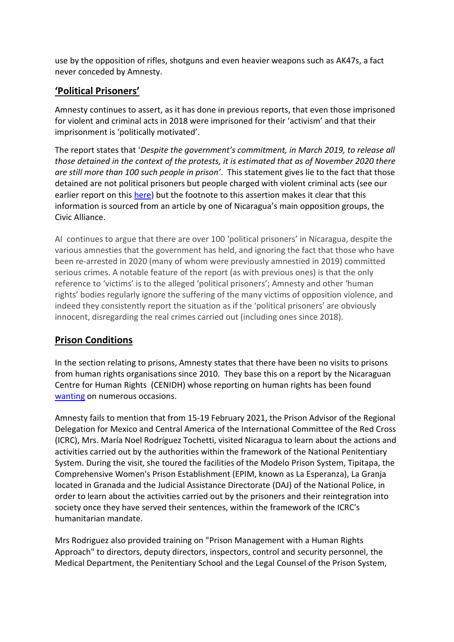use by the opposition of rifles, shotguns and even heavier weapons such as AK47s, a fact never conceded by Amnesty.

## **'Political Prisoners'**

Amnesty continues to assert, as it has done in previous reports, that even those imprisoned for violent and criminal acts in 2018 were imprisoned for their 'activism' and that their imprisonment is 'politically motivated'.

The report states that '*Despite the government's commitment, in March 2019, to release all those detained in the context of the protests, it is estimated that as of November 2020 there are still more than 100 such people in prison'*. This statement gives lie to the fact that those detained are not political prisoners but people charged with violent criminal acts (see our earlier report on this [here\)](https://www.nscag.org/news/article/252/NSCAG-debunks-Amnesty-claims-about-political-prisoners) but the footnote to this assertion makes it clear that this information is sourced from an article by one of Nicaragua's main opposition groups, the Civic Alliance.

AI continues to argue that there are over 100 'political prisoners' in Nicaragua, despite the various amnesties that the government has held, and ignoring the fact that those who have been re-arrested in 2020 (many of whom were previously amnestied in 2019) committed serious crimes. A notable feature of the report (as with previous ones) is that the only reference to 'victims' is to the alleged 'political prisoners'; Amnesty and other 'human rights' bodies regularly ignore the suffering of the many victims of opposition violence, and indeed they consistently report the situation as if the 'political prisoners' are obviously innocent, disregarding the real crimes carried out (including ones since 2018).

# **Prison Conditions**

In the section relating to prisons, Amnesty states that there have been no visits to prisons from human rights organisations since 2010. They base this on a report by the Nicaraguan Centre for Human Rights (CENIDH) whose reporting on human rights has been found [wanting](http://tortillaconsal.com/tortilla/node/3859) on numerous occasions.

Amnesty fails to mention that from 15-19 February 2021, the Prison Advisor of the Regional Delegation for Mexico and Central America of the International Committee of the Red Cross (ICRC), Mrs. María Noel Rodríguez Tochetti, visited Nicaragua to learn about the actions and activities carried out by the authorities within the framework of the National Penitentiary System. During the visit, she toured the facilities of the Modelo Prison System, Tipitapa, the Comprehensive Women's Prison Establishment (EPIM, known as La Esperanza), La Granja located in Granada and the Judicial Assistance Directorate (DAJ) of the National Police, in order to learn about the activities carried out by the prisoners and their reintegration into society once they have served their sentences, within the framework of the ICRC's humanitarian mandate.

Mrs Rodriguez also provided training on "Prison Management with a Human Rights Approach" to directors, deputy directors, inspectors, control and security personnel, the Medical Department, the Penitentiary School and the Legal Counsel of the Prison System,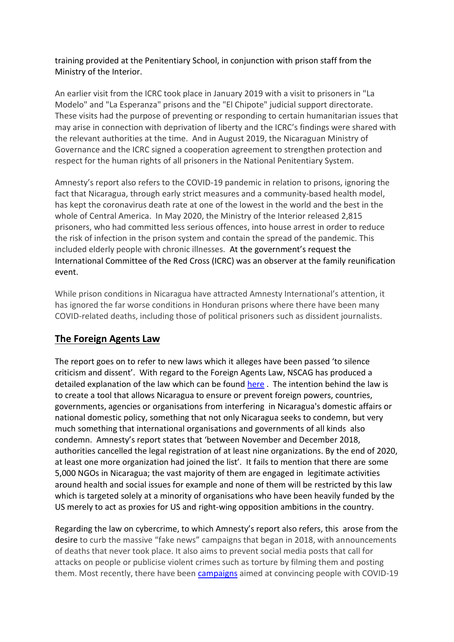#### training provided at the Penitentiary School, in conjunction with prison staff from the Ministry of the Interior.

An earlier visit from the ICRC took place in January 2019 with a visit to prisoners in "La Modelo" and "La Esperanza" prisons and the "El Chipote" judicial support directorate. These visits had the purpose of preventing or responding to certain humanitarian issues that may arise in connection with deprivation of liberty and the ICRC's findings were shared with the relevant authorities at the time. And in August 2019, the Nicaraguan Ministry of Governance and the ICRC signed a cooperation agreement to strengthen protection and respect for the human rights of all prisoners in the National Penitentiary System.

Amnesty's report also refers to the COVID-19 pandemic in relation to prisons, ignoring the fact that Nicaragua, through early strict measures and a community-based health model, has kept the coronavirus death rate at one of the lowest in the world and the best in the whole of Central America. In May 2020, the Ministry of the Interior released 2,815 prisoners, who had committed less serious offences, into house arrest in order to reduce the risk of infection in the prison system and contain the spread of the pandemic. This included elderly people with chronic illnesses. At the government's request the International Committee of the Red Cross (ICRC) was an observer at the family reunification event.

While prison conditions in Nicaragua have attracted Amnesty International's attention, it has ignored the far worse conditions in Honduran prisons where there have been many COVID-related deaths, including those of political prisoners such as dissident journalists.

# **The Foreign Agents Law**

The report goes on to refer to new laws which it alleges have been passed 'to silence criticism and dissent'. With regard to the Foreign Agents Law, NSCAG has produced a detailed explanation of the law which can be found [here](https://www.nscag.org/news/article/333/nicaraguas-foreign-agents-law-explained) . The intention behind the law is to create a tool that allows Nicaragua to ensure or prevent foreign powers, countries, governments, agencies or organisations from interfering in Nicaragua's domestic affairs or national domestic policy, something that not only Nicaragua seeks to condemn, but very much something that international organisations and governments of all kinds also condemn. Amnesty's report states that 'between November and December 2018, authorities cancelled the legal registration of at least nine organizations. By the end of 2020, at least one more organization had joined the list'. It fails to mention that there are some 5,000 NGOs in Nicaragua; the vast majority of them are engaged in legitimate activities around health and social issues for example and none of them will be restricted by this law which is targeted solely at a minority of organisations who have been heavily funded by the US merely to act as proxies for US and right-wing opposition ambitions in the country.

Regarding the law on cybercrime, to which Amnesty's report also refers, this arose from the desire to curb the massive "fake news" campaigns that began in 2018, with announcements of deaths that never took place. It also aims to prevent social media posts that call for attacks on people or publicise violent crimes such as torture by filming them and posting them. Most recently, there have been [campaigns](https://juventudpresidente.com.ni/coronavirus-y-noticias-falsas-en-nicaragua/) aimed at convincing people with COVID-19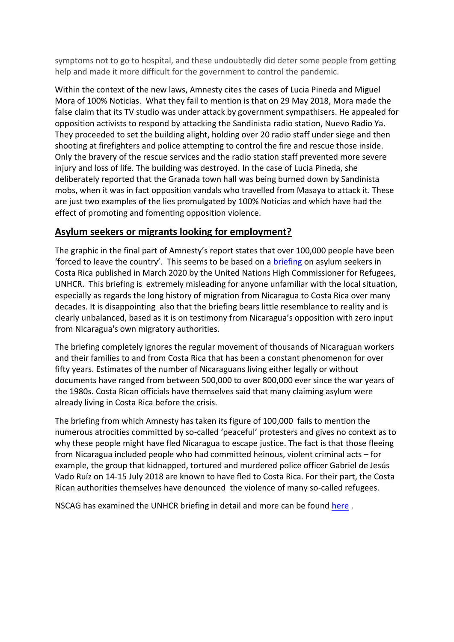symptoms not to go to hospital, and these undoubtedly did deter some people from getting help and made it more difficult for the government to control the pandemic.

Within the context of the new laws, Amnesty cites the cases of Lucia Pineda and Miguel Mora of 100% Noticias. What they fail to mention is that on 29 May 2018, Mora made the false claim that its TV studio was under attack by government sympathisers. He appealed for opposition activists to respond by attacking the Sandinista radio station, Nuevo Radio Ya. They proceeded to set the building alight, holding over 20 radio staff under siege and then shooting at firefighters and police attempting to control the fire and rescue those inside. Only the bravery of the rescue services and the radio station staff prevented more severe injury and loss of life. The building was destroyed. In the case of Lucia Pineda, she deliberately reported that the Granada town hall was being burned down by Sandinista mobs, when it was in fact opposition vandals who travelled from Masaya to attack it. These are just two examples of the lies promulgated by 100% Noticias and which have had the effect of promoting and fomenting opposition violence.

## **Asylum seekers or migrants looking for employment?**

The graphic in the final part of Amnesty's report states that over 100,000 people have been 'forced to leave the country'. This seems to be based on a [briefing](https://www.unhcr.org/uk/news/briefing/2020/3/5e6759934/years-political-social-crisis-nicaragua-forces-100000-flee.html) on asylum seekers in Costa Rica published in March 2020 by the United Nations High Commissioner for Refugees, UNHCR. This briefing is extremely misleading for anyone unfamiliar with the local situation, especially as regards the long history of migration from Nicaragua to Costa Rica over many decades. It is disappointing also that the briefing bears little resemblance to reality and is clearly unbalanced, based as it is on testimony from Nicaragua's opposition with zero input from Nicaragua's own migratory authorities.

The briefing completely ignores the regular movement of thousands of Nicaraguan workers and their families to and from Costa Rica that has been a constant phenomenon for over fifty years. Estimates of the number of Nicaraguans living either legally or without documents have ranged from between 500,000 to over 800,000 ever since the war years of the 1980s. Costa Rican officials have themselves said that many claiming asylum were already living in Costa Rica before the crisis.

The briefing from which Amnesty has taken its figure of 100,000 fails to mention the numerous atrocities committed by so-called 'peaceful' protesters and gives no context as to why these people might have fled Nicaragua to escape justice. The fact is that those fleeing from Nicaragua included people who had committed heinous, violent criminal acts – for example, the group that kidnapped, tortured and murdered police officer Gabriel de Jesús Vado Ruíz on 14-15 July 2018 are known to have fled to Costa Rica. For their part, the Costa Rican authorities themselves have denounced the violence of many so-called refugees.

NSCAG has examined the UNHCR briefing in detail and more can be found [here](https://www.nscag.org/news/article/299/Key-facts-omitted-from-ill-judged-UNHCR-Briefing-on-Nicaraguan-Asylum-Seekers) .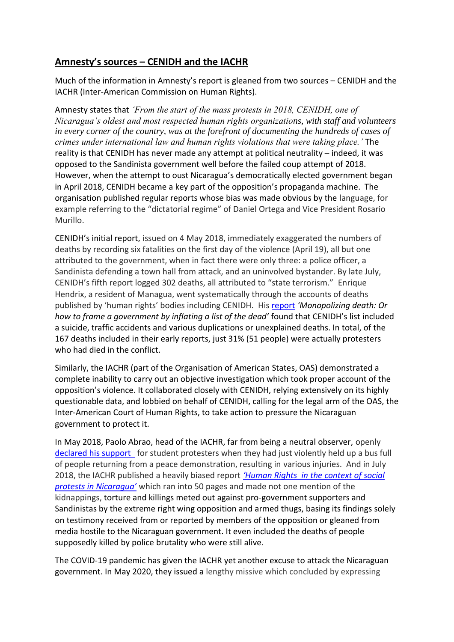# **Amnesty's sources – CENIDH and the IACHR**

Much of the information in Amnesty's report is gleaned from two sources – CENIDH and the IACHR (Inter-American Commission on Human Rights).

Amnesty states that *'From the start of the mass protests in 2018, CENIDH, one of Nicaragua's oldest and most respected human rights organizations, with staff and volunteers in every corner of the country, was at the forefront of documenting the hundreds of cases of crimes under international law and human rights violations that were taking place.'* The reality is that CENIDH has never made any attempt at political neutrality – indeed, it was opposed to the Sandinista government well before the failed coup attempt of 2018. However, when the attempt to oust Nicaragua's democratically elected government began in April 2018, CENIDH became a key part of the opposition's propaganda machine. The organisation published regular reports whose bias was made obvious by the language, for example referring to the "dictatorial regime" of Daniel Ortega and Vice President Rosario Murillo.

CENIDH's initial report, issued on 4 May 2018, immediately exaggerated the numbers of deaths by recording six fatalities on the first day of the violence (April 19), all but one attributed to the government, when in fact there were only three: a police officer, a Sandinista defending a town hall from attack, and an uninvolved bystander. By late July, CENIDH's fifth report logged 302 deaths, all attributed to "state terrorism." Enrique Hendrix, a resident of Managua, went systematically through the accounts of deaths published by 'human rights' bodies including CENIDH.His [report](http://www.tortillaconsal.com/tortilla/node/3546) *'Monopolizing death: Or how to frame a government by inflating a list of the dead'* found that CENIDH's list included a suicide, traffic accidents and various duplications or unexplained deaths. In total, of the 167 deaths included in their early reports, just 31% (51 people) were actually protesters who had died in the conflict.

Similarly, the IACHR (part of the Organisation of American States, OAS) demonstrated a complete inability to carry out an objective investigation which took proper account of the opposition's violence. It collaborated closely with CENIDH, relying extensively on its highly questionable data, and lobbied on behalf of CENIDH, calling for the legal arm of the OAS, the Inter-American Court of Human Rights, to take action to pressure the Nicaraguan government to protect it.

In May 2018, Paolo Abrao, head of the IACHR, far from being a neutral observer, openly [declared his support](https://www.youtube.com/watch?v=ymIwDRRo4eg) for student protesters when they had just violently held up a bus full of people returning from a peace demonstration, resulting in various injuries. And in July 2018, the IACHR published a heavily biased report *['Human Rights in the context of social](https://www.nscag.org/news/article/246/nicaraguan-government-rejects-biased-iachr-report)  [protests in Nicaragua'](https://www.nscag.org/news/article/246/nicaraguan-government-rejects-biased-iachr-report)* which ran into 50 pages and made not one mention of the kidnappings, torture and killings meted out against pro-government supporters and Sandinistas by the extreme right wing opposition and armed thugs, basing its findings solely on testimony received from or reported by members of the opposition or gleaned from media hostile to the Nicaraguan government. It even included the deaths of people supposedly killed by police brutality who were still alive.

The COVID-19 pandemic has given the IACHR yet another excuse to attack the Nicaraguan government. In May 2020, they issued a lengthy missive which concluded by expressing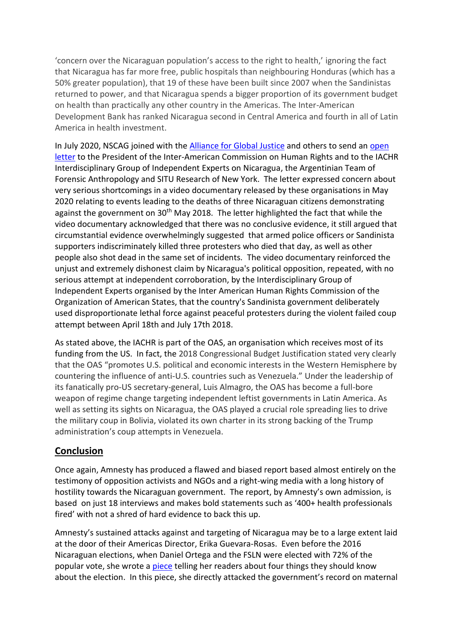'concern over the Nicaraguan population's access to the right to health,' ignoring the fact that Nicaragua has far more free, public hospitals than neighbouring Honduras (which has a 50% greater population), that 19 of these have been built since 2007 when the Sandinistas returned to power, and that Nicaragua spends a bigger proportion of its government budget on health than practically any other country in the Americas. The Inter-American Development Bank has ranked Nicaragua second in Central America and fourth in all of Latin America in health investment.

In July 2020, NSCAG joined with the **Alliance for Global Justice** and others to send an open [letter](https://www.nscag.org/resources/eaaf_situ_open_letter_.pdf) to the President of the Inter-American Commission on Human Rights and to the IACHR Interdisciplinary Group of Independent Experts on Nicaragua, the Argentinian Team of Forensic Anthropology and SITU Research of New York. The letter expressed concern about very serious shortcomings in a video documentary released by these organisations in May 2020 relating to events leading to the deaths of three Nicaraguan citizens demonstrating against the government on  $30<sup>th</sup>$  May 2018. The letter highlighted the fact that while the video documentary acknowledged that there was no conclusive evidence, it still argued that circumstantial evidence overwhelmingly suggested that armed police officers or Sandinista supporters indiscriminately killed three protesters who died that day, as well as other people also shot dead in the same set of incidents. The video documentary reinforced the unjust and extremely dishonest claim by Nicaragua's political opposition, repeated, with no serious attempt at independent corroboration, by the Interdisciplinary Group of Independent Experts organised by the Inter American Human Rights Commission of the Organization of American States, that the country's Sandinista government deliberately used disproportionate lethal force against peaceful protesters during the violent failed coup attempt between April 18th and July 17th 2018.

As stated above, the IACHR is part of the OAS, an organisation which receives most of its funding from the US. In fact, the 2018 Congressional Budget Justification stated very clearly that the OAS "promotes U.S. political and economic interests in the Western Hemisphere by countering the influence of anti-U.S. countries such as Venezuela." Under the leadership of its fanatically pro-US secretary-general, Luis Almagro, the OAS has become a full-bore weapon of regime change targeting independent leftist governments in Latin America. As well as setting its sights on Nicaragua, the OAS played a crucial role spreading lies to drive the military coup in Bolivia, violated its own charter in its strong backing of the Trump administration's coup attempts in Venezuela.

## **Conclusion**

Once again, Amnesty has produced a flawed and biased report based almost entirely on the testimony of opposition activists and NGOs and a right-wing media with a long history of hostility towards the Nicaraguan government. The report, by Amnesty's own admission, is based on just 18 interviews and makes bold statements such as '400+ health professionals fired' with not a shred of hard evidence to back this up.

Amnesty's sustained attacks against and targeting of Nicaragua may be to a large extent laid at the door of their Americas Director, Erika Guevara-Rosas. Even before the 2016 Nicaraguan elections, when Daniel Ortega and the FSLN were elected with 72% of the popular vote, she wrote a [piece](https://www.amnesty.org/en/latest/news/2016/11/four-things-you-should-know-about-the-other-election-this-week/) telling her readers about four things they should know about the election. In this piece, she directly attacked the government's record on maternal